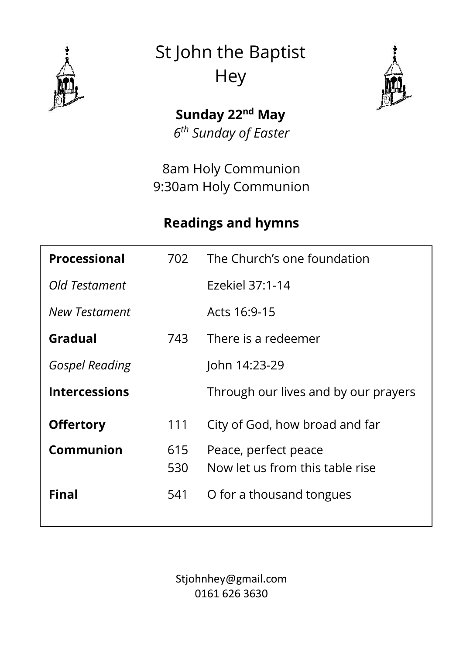

St John the Baptist **Hey** 



**Sunday 22nd May** *6 th Sunday of Easter*

8am Holy Communion 9:30am Holy Communion

### **Readings and hymns**

| <b>Processional</b>   | 702        | The Church's one foundation                             |
|-----------------------|------------|---------------------------------------------------------|
| Old Testament         |            | Ezekiel 37:1-14                                         |
| New Testament         |            | Acts 16:9-15                                            |
| Gradual               | 743        | There is a redeemer                                     |
| <b>Gospel Reading</b> |            | John 14:23-29                                           |
| <b>Intercessions</b>  |            | Through our lives and by our prayers                    |
| <b>Offertory</b>      | 111        | City of God, how broad and far                          |
| Communion             | 615<br>530 | Peace, perfect peace<br>Now let us from this table rise |
| Final                 | 541        | O for a thousand tongues                                |

Stjohnhey@gmail.com 0161 626 3630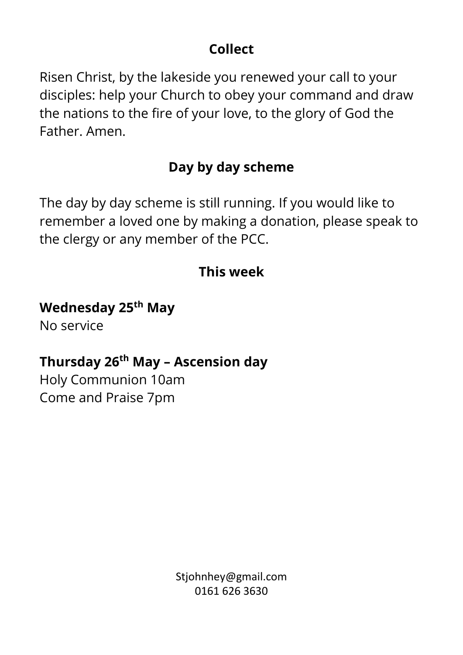## **Collect**

Risen Christ, by the lakeside you renewed your call to your disciples: help your Church to obey your command and draw the nations to the fire of your love, to the glory of God the Father. Amen.

## **Day by day scheme**

The day by day scheme is still running. If you would like to remember a loved one by making a donation, please speak to the clergy or any member of the PCC.

### **This week**

#### **Wednesday 25th May**

No service

### **Thursday 26th May – Ascension day**

Holy Communion 10am Come and Praise 7pm

> Stjohnhey@gmail.com 0161 626 3630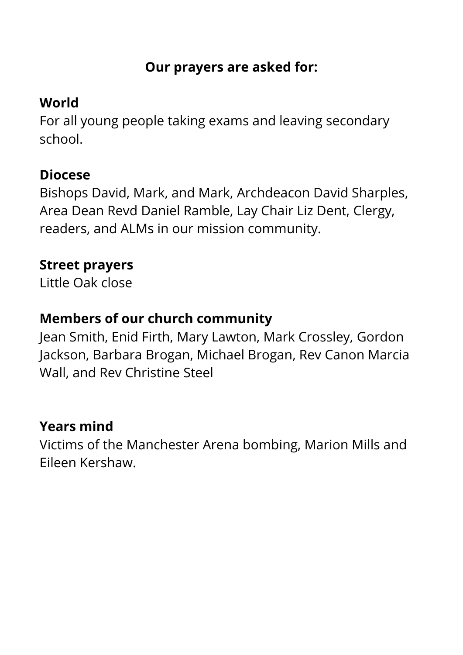#### **Our prayers are asked for:**

### **World**

For all young people taking exams and leaving secondary school.

#### **Diocese**

Bishops David, Mark, and Mark, Archdeacon David Sharples, Area Dean Revd Daniel Ramble, Lay Chair Liz Dent, Clergy, readers, and ALMs in our mission community.

#### **Street prayers**

Little Oak close

### **Members of our church community**

Jean Smith, Enid Firth, Mary Lawton, Mark Crossley, Gordon Jackson, Barbara Brogan, Michael Brogan, Rev Canon Marcia Wall, and Rev Christine Steel

#### **Years mind**

Victims of the Manchester Arena bombing, Marion Mills and Eileen Kershaw.